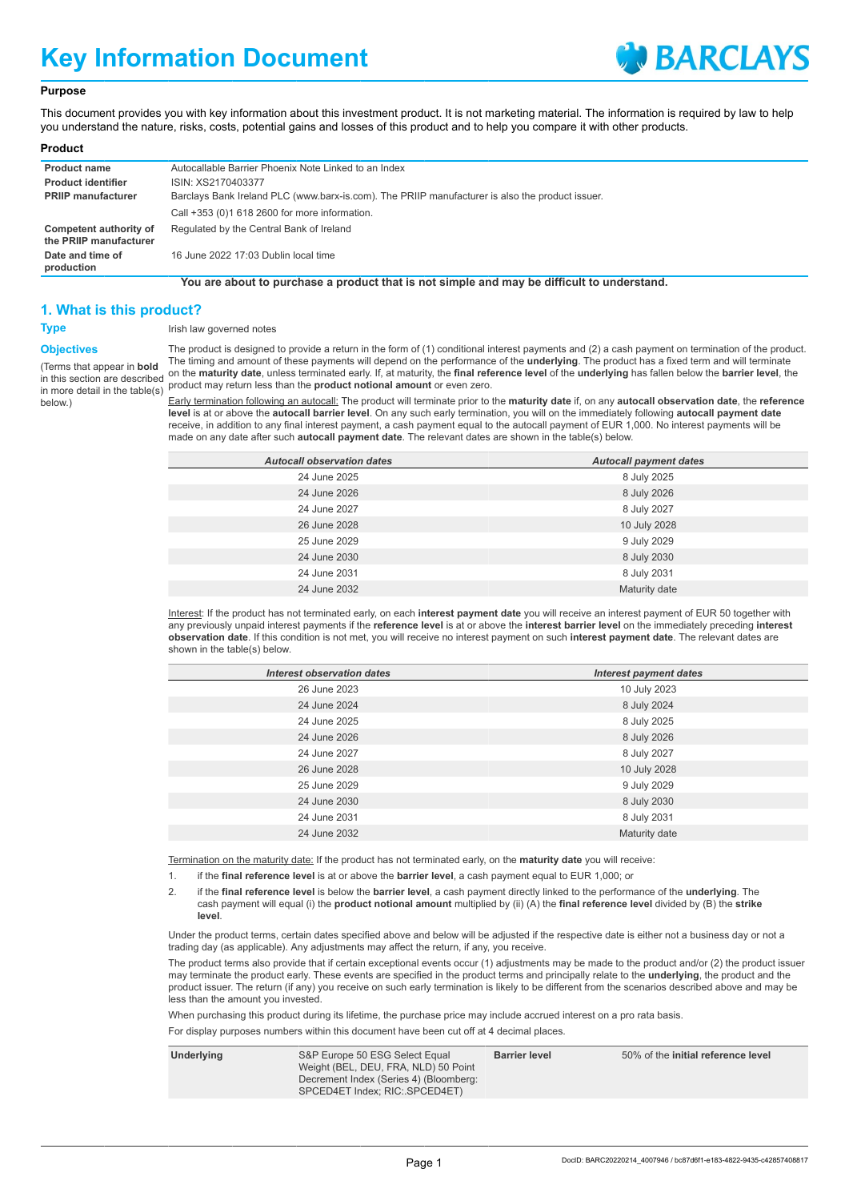# **Key Information Document**



#### **Purpose**

This document provides you with key information about this investment product. It is not marketing material. The information is required by law to help you understand the nature, risks, costs, potential gains and losses of this product and to help you compare it with other products.

| Product |
|---------|
|         |

| <b>Product name</b>                              | Autocallable Barrier Phoenix Note Linked to an Index                                            |
|--------------------------------------------------|-------------------------------------------------------------------------------------------------|
| <b>Product identifier</b>                        | ISIN: XS2170403377                                                                              |
| <b>PRIIP manufacturer</b>                        | Barclays Bank Ireland PLC (www.barx-is.com). The PRIIP manufacturer is also the product issuer. |
|                                                  | Call +353 (0)1 618 2600 for more information.                                                   |
| Competent authority of<br>the PRIIP manufacturer | Regulated by the Central Bank of Ireland                                                        |
| Date and time of<br>production                   | 16 June 2022 17:03 Dublin local time                                                            |

**You are about to purchase a product that is not simple and may be difficult to understand.**

## **1. What is this product?**

### **Objectives**

(Terms that appear in **bold** in this section are described in more detail in the table(s) below.)

**Type** Irish law governed notes

The product is designed to provide a return in the form of (1) conditional interest payments and (2) a cash payment on termination of the product. The timing and amount of these payments will depend on the performance of the **underlying**. The product has a fixed term and will terminate on the **maturity date**, unless terminated early. If, at maturity, the **final reference level** of the **underlying** has fallen below the **barrier level**, the product may return less than the **product notional amount** or even zero.

Early termination following an autocall: The product will terminate prior to the **maturity date** if, on any **autocall observation date**, the **reference level** is at or above the **autocall barrier level**. On any such early termination, you will on the immediately following **autocall payment date** receive, in addition to any final interest payment, a cash payment equal to the autocall payment of EUR 1,000. No interest payments will be made on any date after such **autocall payment date**. The relevant dates are shown in the table(s) below.

| <b>Autocall observation dates</b> | <b>Autocall payment dates</b> |
|-----------------------------------|-------------------------------|
| 24 June 2025                      | 8 July 2025                   |
| 24 June 2026                      | 8 July 2026                   |
| 24 June 2027                      | 8 July 2027                   |
| 26 June 2028                      | 10 July 2028                  |
| 25 June 2029                      | 9 July 2029                   |
| 24 June 2030                      | 8 July 2030                   |
| 24 June 2031                      | 8 July 2031                   |
| 24 June 2032                      | Maturity date                 |
|                                   |                               |

Interest: If the product has not terminated early, on each **interest payment date** you will receive an interest payment of EUR 50 together with any previously unpaid interest payments if the **reference level** is at or above the **interest barrier level** on the immediately preceding **interest observation date**. If this condition is not met, you will receive no interest payment on such **interest payment date**. The relevant dates are shown in the table(s) below.

| Interest observation dates | <b>Interest payment dates</b> |
|----------------------------|-------------------------------|
| 26 June 2023               | 10 July 2023                  |
| 24 June 2024               | 8 July 2024                   |
| 24 June 2025               | 8 July 2025                   |
| 24 June 2026               | 8 July 2026                   |
| 24 June 2027               | 8 July 2027                   |
| 26 June 2028               | 10 July 2028                  |
| 25 June 2029               | 9 July 2029                   |
| 24 June 2030               | 8 July 2030                   |
| 24 June 2031               | 8 July 2031                   |
| 24 June 2032               | Maturity date                 |

Termination on the maturity date: If the product has not terminated early, on the **maturity date** you will receive:

1. if the **final reference level** is at or above the **barrier level**, a cash payment equal to EUR 1,000; or

2. if the **final reference level** is below the **barrier level**, a cash payment directly linked to the performance of the **underlying**. The cash payment will equal (i) the **product notional amount** multiplied by (ii) (A) the **final reference level** divided by (B) the **strike level**.

Under the product terms, certain dates specified above and below will be adjusted if the respective date is either not a business day or not a trading day (as applicable). Any adjustments may affect the return, if any, you receive.

The product terms also provide that if certain exceptional events occur (1) adjustments may be made to the product and/or (2) the product issuer may terminate the product early. These events are specified in the product terms and principally relate to the **underlying**, the product and the product issuer. The return (if any) you receive on such early termination is likely to be different from the scenarios described above and may be less than the amount you invested.

When purchasing this product during its lifetime, the purchase price may include accrued interest on a pro rata basis.

For display purposes numbers within this document have been cut off at 4 decimal places.

| S&P Europe 50 ESG Select Equal<br>Underlying<br>Weight (BEL, DEU, FRA, NLD) 50 Point<br>Decrement Index (Series 4) (Bloomberg:<br>SPCED4ET Index; RIC: SPCED4ET) | <b>Barrier level</b> | 50% of the initial reference level |
|------------------------------------------------------------------------------------------------------------------------------------------------------------------|----------------------|------------------------------------|
|------------------------------------------------------------------------------------------------------------------------------------------------------------------|----------------------|------------------------------------|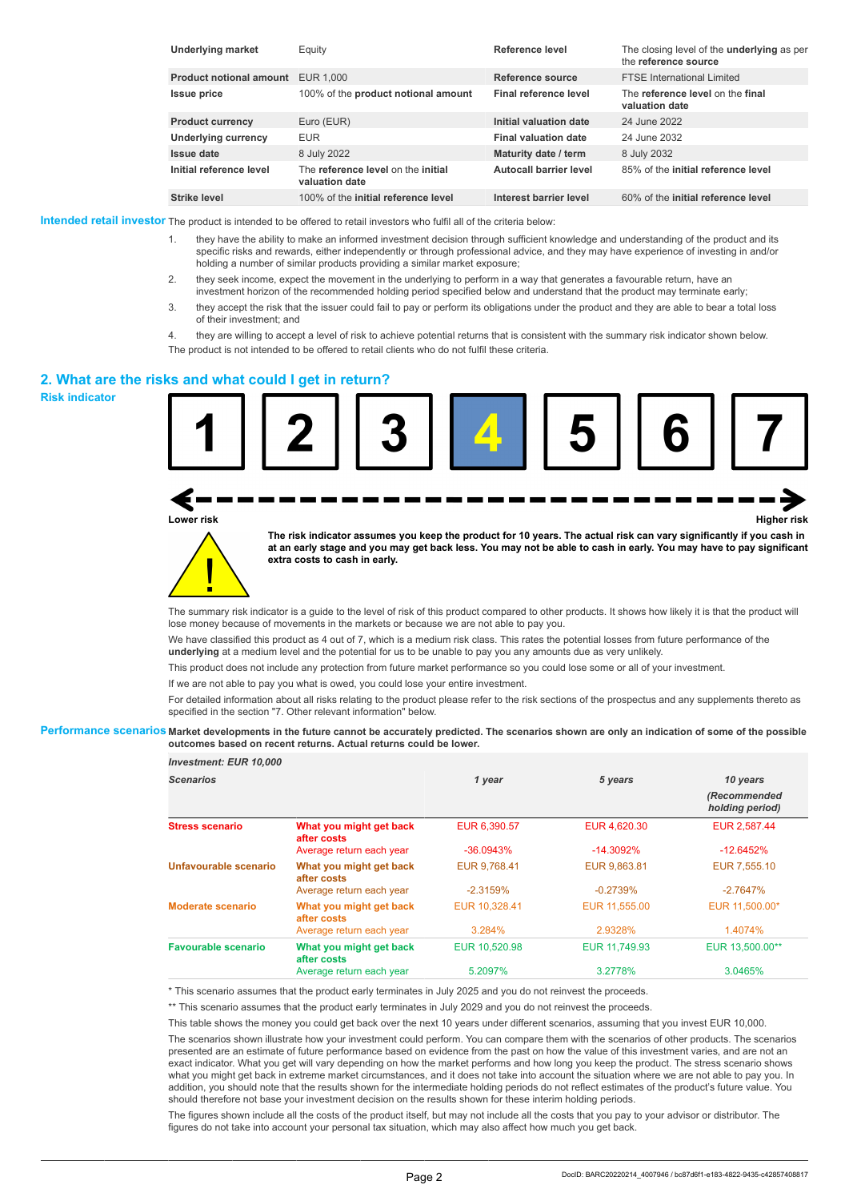| <b>Underlying market</b>                 | Equity                                               | Reference level             | The closing level of the <b>underlying</b> as per<br>the reference source |
|------------------------------------------|------------------------------------------------------|-----------------------------|---------------------------------------------------------------------------|
| <b>Product notional amount</b> EUR 1,000 |                                                      | Reference source            | <b>FTSE International Limited</b>                                         |
| <b>Issue price</b>                       | 100% of the product notional amount                  | Final reference level       | The reference level on the final<br>valuation date                        |
| <b>Product currency</b>                  | Euro (EUR)                                           | Initial valuation date      | 24 June 2022                                                              |
| Underlying currency                      | <b>EUR</b>                                           | <b>Final valuation date</b> | 24 June 2032                                                              |
| Issue date                               | 8 July 2022                                          | Maturity date / term        | 8 July 2032                                                               |
| Initial reference level                  | The reference level on the initial<br>valuation date | Autocall barrier level      | 85% of the initial reference level                                        |
| <b>Strike level</b>                      | 100% of the initial reference level                  | Interest barrier level      | 60% of the initial reference level                                        |

**Intended retail investor** The product is intended to be offered to retail investors who fulfil all of the criteria below:

- 1. they have the ability to make an informed investment decision through sufficient knowledge and understanding of the product and its specific risks and rewards, either independently or through professional advice, and they may have experience of investing in and/or holding a number of similar products providing a similar market exposure;
- 2. they seek income, expect the movement in the underlying to perform in a way that generates a favourable return, have an investment horizon of the recommended holding period specified below and understand that the product may terminate early;
- 3. they accept the risk that the issuer could fail to pay or perform its obligations under the product and they are able to bear a total loss of their investment; and
- 4. they are willing to accept a level of risk to achieve potential returns that is consistent with the summary risk indicator shown below. The product is not intended to be offered to retail clients who do not fulfil these criteria.

#### **2. What are the risks and what could I get in return?**

**Risk indicator**



**Lower risk Higher risk**

**The risk indicator assumes you keep the product for 10 years. The actual risk can vary significantly if you cash in at an early stage and you may get back less. You may not be able to cash in early. You may have to pay significant extra costs to cash in early.**

The summary risk indicator is a guide to the level of risk of this product compared to other products. It shows how likely it is that the product will lose money because of movements in the markets or because we are not able to pay you.

We have classified this product as 4 out of 7, which is a medium risk class. This rates the potential losses from future performance of the **underlying** at a medium level and the potential for us to be unable to pay you any amounts due as very unlikely.

This product does not include any protection from future market performance so you could lose some or all of your investment.

If we are not able to pay you what is owed, you could lose your entire investment.

For detailed information about all risks relating to the product please refer to the risk sections of the prospectus and any supplements thereto as specified in the section "7. Other relevant information" below.

#### **Performance scenarios Market developments in the future cannot be accurately predicted. The scenarios shown are only an indication of some of the possible outcomes based on recent returns. Actual returns could be lower.**

| <b>Investment: EUR 10,000</b> |                                        |               |               |                                 |
|-------------------------------|----------------------------------------|---------------|---------------|---------------------------------|
| <b>Scenarios</b>              |                                        | 1 year        | 5 years       | 10 years                        |
|                               |                                        |               |               | (Recommended<br>holding period) |
| <b>Stress scenario</b>        | What you might get back<br>after costs | EUR 6,390.57  | EUR 4,620.30  | EUR 2,587.44                    |
|                               | Average return each year               | $-36.0943%$   | $-14.3092\%$  | $-12.6452%$                     |
| Unfavourable scenario         | What you might get back<br>after costs | EUR 9.768.41  | EUR 9.863.81  | EUR 7.555.10                    |
|                               | Average return each year               | $-2.3159%$    | $-0.2739%$    | $-2.7647%$                      |
| Moderate scenario             | What you might get back<br>after costs | EUR 10,328.41 | EUR 11,555.00 | EUR 11,500.00*                  |
|                               | Average return each year               | 3.284%        | 2.9328%       | 1.4074%                         |
| Favourable scenario           | What you might get back<br>after costs | EUR 10,520.98 | EUR 11.749.93 | EUR 13,500.00**                 |
|                               | Average return each year               | 5.2097%       | 3.2778%       | 3.0465%                         |

\* This scenario assumes that the product early terminates in July 2025 and you do not reinvest the proceeds.

\*\* This scenario assumes that the product early terminates in July 2029 and you do not reinvest the proceeds.

This table shows the money you could get back over the next 10 years under different scenarios, assuming that you invest EUR 10,000.

The scenarios shown illustrate how your investment could perform. You can compare them with the scenarios of other products. The scenarios presented are an estimate of future performance based on evidence from the past on how the value of this investment varies, and are not an exact indicator. What you get will vary depending on how the market performs and how long you keep the product. The stress scenario shows what you might get back in extreme market circumstances, and it does not take into account the situation where we are not able to pay you. In addition, you should note that the results shown for the intermediate holding periods do not reflect estimates of the product's future value. You should therefore not base your investment decision on the results shown for these interim holding periods.

The figures shown include all the costs of the product itself, but may not include all the costs that you pay to your advisor or distributor. The figures do not take into account your personal tax situation, which may also affect how much you get back.